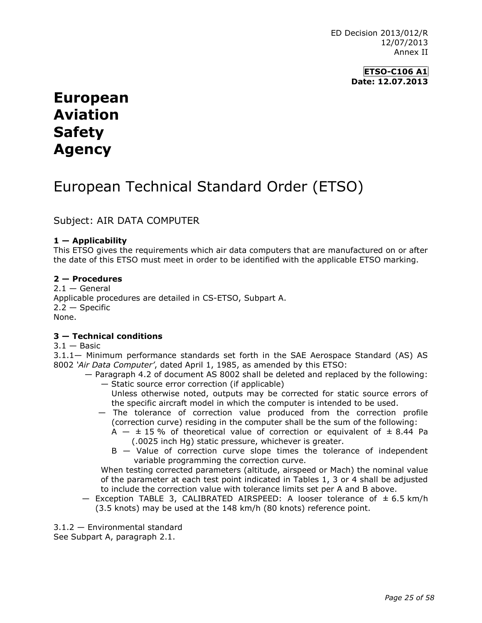ED Decision 2013/012/R 12/07/2013 Annex II

> **ETSO-C106 A1 Date: 12.07.2013**

# **European Aviation Safety Agency**

# European Technical Standard Order (ETSO)

Subject: AIR DATA COMPUTER

### **1 — Applicability**

This ETSO gives the requirements which air data computers that are manufactured on or after the date of this ETSO must meet in order to be identified with the applicable ETSO marking.

#### **2 — Procedures**

 $2.1 -$  General Applicable procedures are detailed in CS-ETSO, Subpart A.  $2.2 -$  Specific None.

## **3 — Technical conditions**

 $3.1 -$ Basic

3.1.1— Minimum performance standards set forth in the SAE Aerospace Standard (AS) AS 8002 *'Air Data Computer'*, dated April 1, 1985, as amended by this ETSO:

- Paragraph 4.2 of document AS 8002 shall be deleted and replaced by the following: — Static source error correction (if applicable)
	- Unless otherwise noted, outputs may be corrected for static source errors of the specific aircraft model in which the computer is intended to be used.
	- The tolerance of correction value produced from the correction profile (correction curve) residing in the computer shall be the sum of the following:
		- A  $\pm$  15 % of theoretical value of correction or equivalent of  $\pm$  8.44 Pa (.0025 inch Hg) static pressure, whichever is greater.
		- B Value of correction curve slope times the tolerance of independent variable programming the correction curve.

When testing corrected parameters (altitude, airspeed or Mach) the nominal value of the parameter at each test point indicated in Tables 1, 3 or 4 shall be adjusted to include the correction value with tolerance limits set per A and B above.

 $-$  Exception TABLE 3, CALIBRATED AIRSPEED: A looser tolerance of  $\pm$  6.5 km/h (3.5 knots) may be used at the 148 km/h (80 knots) reference point.

3.1.2 — Environmental standard

See Subpart A, paragraph 2.1.